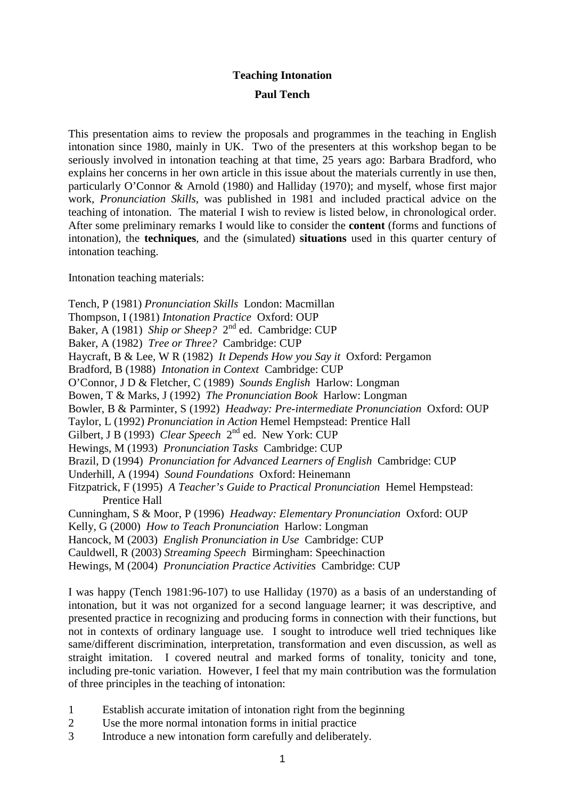## **Teaching Intonation Paul Tench**

This presentation aims to review the proposals and programmes in the teaching in English intonation since 1980, mainly in UK. Two of the presenters at this workshop began to be seriously involved in intonation teaching at that time, 25 years ago: Barbara Bradford, who explains her concerns in her own article in this issue about the materials currently in use then, particularly O'Connor & Arnold (1980) and Halliday (1970); and myself, whose first major work, *Pronunciation Skills*, was published in 1981 and included practical advice on the teaching of intonation. The material I wish to review is listed below, in chronological order. After some preliminary remarks I would like to consider the **content** (forms and functions of intonation), the **techniques**, and the (simulated) **situations** used in this quarter century of intonation teaching.

Intonation teaching materials:

Tench, P (1981) *Pronunciation Skills* London: Macmillan Thompson, I (1981) *Intonation Practice* Oxford: OUP Baker, A (1981) *Ship or Sheep?* 2<sup>nd</sup> ed. Cambridge: CUP Baker, A (1982) *Tree or Three?* Cambridge: CUP Haycraft, B & Lee, W R (1982) *It Depends How you Say it* Oxford: Pergamon Bradford, B (1988) *Intonation in Context* Cambridge: CUP O'Connor, J D & Fletcher, C (1989) *Sounds English* Harlow: Longman Bowen, T & Marks, J (1992) *The Pronunciation Book* Harlow: Longman Bowler, B & Parminter, S (1992) *Headway: Pre-intermediate Pronunciation* Oxford: OUP Taylor, L (1992) *Pronunciation in Action* Hemel Hempstead: Prentice Hall Gilbert, J B (1993) *Clear Speech* 2<sup>nd</sup> ed. New York: CUP Hewings, M (1993) *Pronunciation Tasks* Cambridge: CUP Brazil, D (1994) *Pronunciation for Advanced Learners of English* Cambridge: CUP Underhill, A (1994) *Sound Foundations* Oxford: Heinemann Fitzpatrick, F (1995) *A Teacher's Guide to Practical Pronunciation* Hemel Hempstead: Prentice Hall Cunningham, S & Moor, P (1996) *Headway: Elementary Pronunciation* Oxford: OUP Kelly, G (2000) *How to Teach Pronunciation* Harlow: Longman Hancock, M (2003) *English Pronunciation in Use* Cambridge: CUP Cauldwell, R (2003) *Streaming Speech* Birmingham: Speechinaction Hewings, M (2004) *Pronunciation Practice Activities* Cambridge: CUP

I was happy (Tench 1981:96-107) to use Halliday (1970) as a basis of an understanding of intonation, but it was not organized for a second language learner; it was descriptive, and presented practice in recognizing and producing forms in connection with their functions, but not in contexts of ordinary language use. I sought to introduce well tried techniques like same/different discrimination, interpretation, transformation and even discussion, as well as straight imitation. I covered neutral and marked forms of tonality, tonicity and tone, including pre-tonic variation. However, I feel that my main contribution was the formulation of three principles in the teaching of intonation:

- 1 Establish accurate imitation of intonation right from the beginning
- 2 Use the more normal intonation forms in initial practice
- 3 Introduce a new intonation form carefully and deliberately.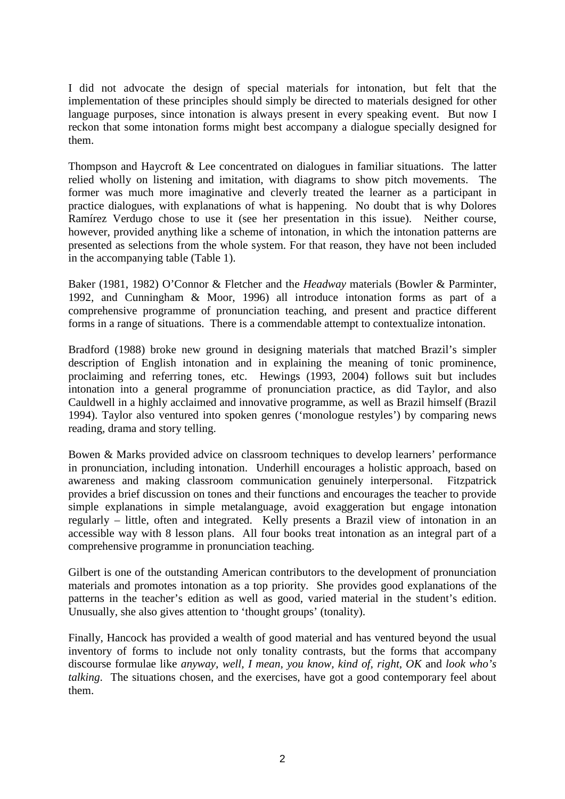I did not advocate the design of special materials for intonation, but felt that the implementation of these principles should simply be directed to materials designed for other language purposes, since intonation is always present in every speaking event. But now I reckon that some intonation forms might best accompany a dialogue specially designed for them.

Thompson and Haycroft & Lee concentrated on dialogues in familiar situations. The latter relied wholly on listening and imitation, with diagrams to show pitch movements. The former was much more imaginative and cleverly treated the learner as a participant in practice dialogues, with explanations of what is happening. No doubt that is why Dolores Ramírez Verdugo chose to use it (see her presentation in this issue). Neither course, however, provided anything like a scheme of intonation, in which the intonation patterns are presented as selections from the whole system. For that reason, they have not been included in the accompanying table (Table 1).

Baker (1981, 1982) O'Connor & Fletcher and the *Headway* materials (Bowler & Parminter, 1992, and Cunningham & Moor, 1996) all introduce intonation forms as part of a comprehensive programme of pronunciation teaching, and present and practice different forms in a range of situations. There is a commendable attempt to contextualize intonation.

Bradford (1988) broke new ground in designing materials that matched Brazil's simpler description of English intonation and in explaining the meaning of tonic prominence, proclaiming and referring tones, etc. Hewings (1993, 2004) follows suit but includes intonation into a general programme of pronunciation practice, as did Taylor, and also Cauldwell in a highly acclaimed and innovative programme, as well as Brazil himself (Brazil 1994). Taylor also ventured into spoken genres ('monologue restyles') by comparing news reading, drama and story telling.

Bowen & Marks provided advice on classroom techniques to develop learners' performance in pronunciation, including intonation. Underhill encourages a holistic approach, based on awareness and making classroom communication genuinely interpersonal. Fitzpatrick provides a brief discussion on tones and their functions and encourages the teacher to provide simple explanations in simple metalanguage, avoid exaggeration but engage intonation regularly – little, often and integrated. Kelly presents a Brazil view of intonation in an accessible way with 8 lesson plans. All four books treat intonation as an integral part of a comprehensive programme in pronunciation teaching.

Gilbert is one of the outstanding American contributors to the development of pronunciation materials and promotes intonation as a top priority. She provides good explanations of the patterns in the teacher's edition as well as good, varied material in the student's edition. Unusually, she also gives attention to 'thought groups' (tonality).

Finally, Hancock has provided a wealth of good material and has ventured beyond the usual inventory of forms to include not only tonality contrasts, but the forms that accompany discourse formulae like *anyway, well, I mean, you know, kind of, right, OK* and *look who's talking*. The situations chosen, and the exercises, have got a good contemporary feel about them.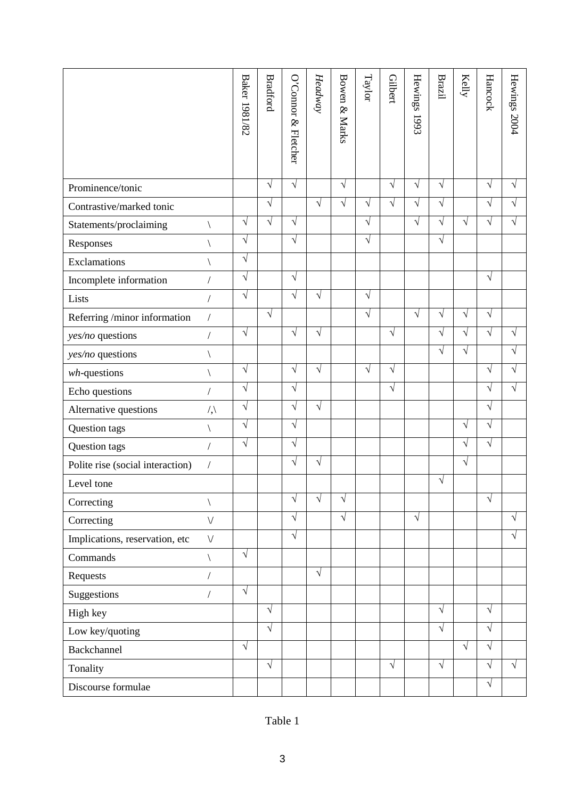|                                  |                          | <b>Baker 1981/82</b> | <b>Bradford</b> | O'Comor<br>& Fletcher | Head way   | Bowen & Marks | Taylor     | Gilbert   | Hewings 1993 | Brazil     | $\operatorname{Kely}$ | Hancock    | Hewings 2004 |
|----------------------------------|--------------------------|----------------------|-----------------|-----------------------|------------|---------------|------------|-----------|--------------|------------|-----------------------|------------|--------------|
| Prominence/tonic                 |                          |                      | $\sqrt{}$       | $\sqrt{ }$            |            | $\sqrt{ }$    |            | $\sqrt{}$ | $\sqrt{}$    | $\sqrt{ }$ |                       | $\sqrt{ }$ | $\sqrt{}$    |
| Contrastive/marked tonic         |                          |                      | $\sqrt{}$       |                       | $\sqrt{ }$ | $\sqrt{}$     | $\sqrt{ }$ | $\sqrt{}$ | $\sqrt{}$    | $\sqrt{ }$ |                       | $\sqrt{ }$ | $\sqrt{}$    |
| Statements/proclaiming           |                          | $\sqrt{}$            | $\sqrt{}$       | $\sqrt{}$             |            |               | $\sqrt{}$  |           | $\sqrt{}$    | $\sqrt{}$  | $\sqrt{}$             | V          | $\sqrt{}$    |
| Responses                        |                          | $\sqrt{ }$           |                 | $\sqrt{ }$            |            |               | $\sqrt{ }$ |           |              | $\sqrt{ }$ |                       |            |              |
| Exclamations                     |                          | $\sqrt{ }$           |                 |                       |            |               |            |           |              |            |                       |            |              |
| Incomplete information           |                          | $\sqrt{ }$           |                 | $\sqrt{}$             |            |               |            |           |              |            |                       | $\sqrt{ }$ |              |
| Lists                            | $\sqrt{2}$               | $\sqrt{ }$           |                 | $\sqrt{ }$            | $\sqrt{ }$ |               | $\sqrt{ }$ |           |              |            |                       |            |              |
| Referring /minor information     | $\sqrt{\phantom{a}}$     |                      | $\sqrt{}$       |                       |            |               | $\sqrt{ }$ |           | $\sqrt{}$    | $\sqrt{ }$ | V                     | $\sqrt{ }$ |              |
| yes/no questions                 |                          | $\sqrt{ }$           |                 | $\sqrt{ }$            | V          |               |            | $\sqrt{}$ |              | $\sqrt{ }$ | $\sqrt{}$             | $\sqrt{}$  | $\sqrt{}$    |
| yes/no questions                 |                          |                      |                 |                       |            |               |            |           |              | $\sqrt{ }$ | $\sqrt{ }$            |            | $\sqrt{ }$   |
| $wh$ -questions                  |                          | $\sqrt{ }$           |                 | $\sqrt{}$             | $\sqrt{}$  |               | $\sqrt{}$  | $\sqrt{}$ |              |            |                       | $\sqrt{}$  | $\sqrt{}$    |
| Echo questions                   |                          | $\sqrt{ }$           |                 | $\sqrt{ }$            |            |               |            | $\sqrt{}$ |              |            |                       | $\sqrt{}$  | $\sqrt{ }$   |
| Alternative questions            | $\langle \cdot, \rangle$ | $\sqrt{ }$           |                 | $\sqrt{}$             | $\sqrt{}$  |               |            |           |              |            |                       | $\sqrt{ }$ |              |
| Question tags                    |                          | $\sqrt{ }$           |                 | $\sqrt{}$             |            |               |            |           |              |            | $\sqrt{ }$            | $\sqrt{ }$ |              |
| Question tags                    |                          | $\sqrt{ }$           |                 | $\sqrt{}$             |            |               |            |           |              |            | $\sqrt{}$             | $\sqrt{ }$ |              |
| Polite rise (social interaction) | $\sqrt{2}$               |                      |                 | $\sqrt{}$             | V          |               |            |           |              |            | $\sqrt{}$             |            |              |
| Level tone                       |                          |                      |                 |                       |            |               |            |           |              | $\sqrt{ }$ |                       |            |              |
| Correcting                       |                          |                      |                 | $\sqrt{}$             | V          | V             |            |           |              |            |                       | $\sqrt{}$  |              |
| Correcting                       | $\vee$                   |                      |                 | $\sqrt{}$             |            | $\sqrt{}$     |            |           | $\sqrt{}$    |            |                       |            | $\sqrt{}$    |
| Implications, reservation, etc   | $\vee$                   |                      |                 | $\sqrt{}$             |            |               |            |           |              |            |                       |            | $\sqrt{ }$   |
| Commands                         |                          | $\sqrt{ }$           |                 |                       |            |               |            |           |              |            |                       |            |              |
| Requests                         |                          |                      |                 |                       | $\sqrt{}$  |               |            |           |              |            |                       |            |              |
| Suggestions                      |                          | $\sqrt{ }$           |                 |                       |            |               |            |           |              |            |                       |            |              |
| High key                         |                          |                      | $\sqrt{}$       |                       |            |               |            |           |              | $\sqrt{ }$ |                       | $\sqrt{ }$ |              |
| Low key/quoting                  |                          |                      | $\sqrt{}$       |                       |            |               |            |           |              | $\sqrt{}$  |                       | $\sqrt{ }$ |              |
| Backchannel                      |                          | $\sqrt{}$            |                 |                       |            |               |            |           |              |            | $\sqrt{ }$            | $\sqrt{ }$ |              |
| Tonality                         |                          |                      | $\sqrt{}$       |                       |            |               |            | $\sqrt{}$ |              | $\sqrt{}$  |                       | $\sqrt{}$  | $\sqrt{ }$   |
| Discourse formulae               |                          |                      |                 |                       |            |               |            |           |              |            |                       | $\sqrt{ }$ |              |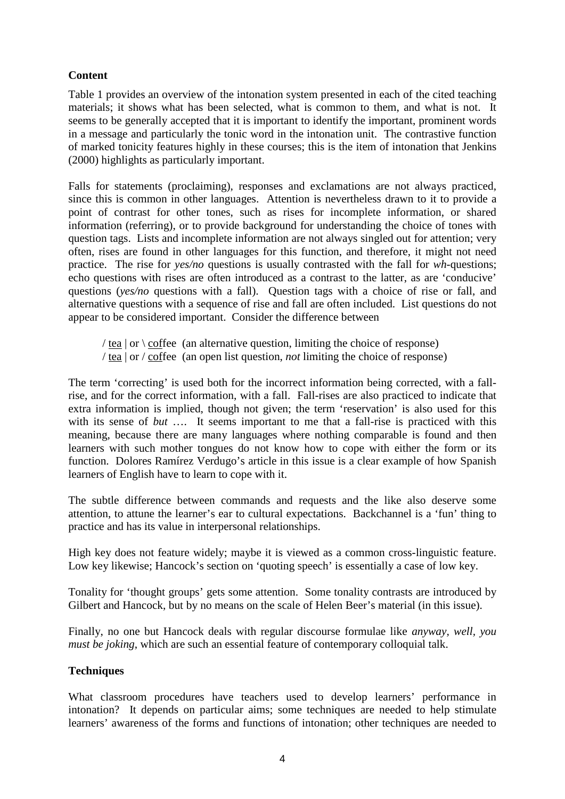## **Content**

Table 1 provides an overview of the intonation system presented in each of the cited teaching materials; it shows what has been selected, what is common to them, and what is not. It seems to be generally accepted that it is important to identify the important, prominent words in a message and particularly the tonic word in the intonation unit. The contrastive function of marked tonicity features highly in these courses; this is the item of intonation that Jenkins (2000) highlights as particularly important.

Falls for statements (proclaiming), responses and exclamations are not always practiced, since this is common in other languages. Attention is nevertheless drawn to it to provide a point of contrast for other tones, such as rises for incomplete information, or shared information (referring), or to provide background for understanding the choice of tones with question tags. Lists and incomplete information are not always singled out for attention; very often, rises are found in other languages for this function, and therefore, it might not need practice. The rise for *yes/no* questions is usually contrasted with the fall for *wh*-questions; echo questions with rises are often introduced as a contrast to the latter, as are 'conducive' questions (*yes/no* questions with a fall). Question tags with a choice of rise or fall, and alternative questions with a sequence of rise and fall are often included. List questions do not appear to be considered important. Consider the difference between

/ tea  $\vert$  or  $\vert$  coffee (an alternative question, limiting the choice of response) / tea | or / coffee (an open list question, *not* limiting the choice of response)

The term 'correcting' is used both for the incorrect information being corrected, with a fallrise, and for the correct information, with a fall. Fall-rises are also practiced to indicate that extra information is implied, though not given; the term 'reservation' is also used for this with its sense of *but* .... It seems important to me that a fall-rise is practiced with this meaning, because there are many languages where nothing comparable is found and then learners with such mother tongues do not know how to cope with either the form or its function. Dolores Ramírez Verdugo's article in this issue is a clear example of how Spanish learners of English have to learn to cope with it.

The subtle difference between commands and requests and the like also deserve some attention, to attune the learner's ear to cultural expectations. Backchannel is a 'fun' thing to practice and has its value in interpersonal relationships.

High key does not feature widely; maybe it is viewed as a common cross-linguistic feature. Low key likewise; Hancock's section on 'quoting speech' is essentially a case of low key.

Tonality for 'thought groups' gets some attention. Some tonality contrasts are introduced by Gilbert and Hancock, but by no means on the scale of Helen Beer's material (in this issue).

Finally, no one but Hancock deals with regular discourse formulae like *anyway, well, you must be joking*, which are such an essential feature of contemporary colloquial talk.

## **Techniques**

What classroom procedures have teachers used to develop learners' performance in intonation? It depends on particular aims; some techniques are needed to help stimulate learners' awareness of the forms and functions of intonation; other techniques are needed to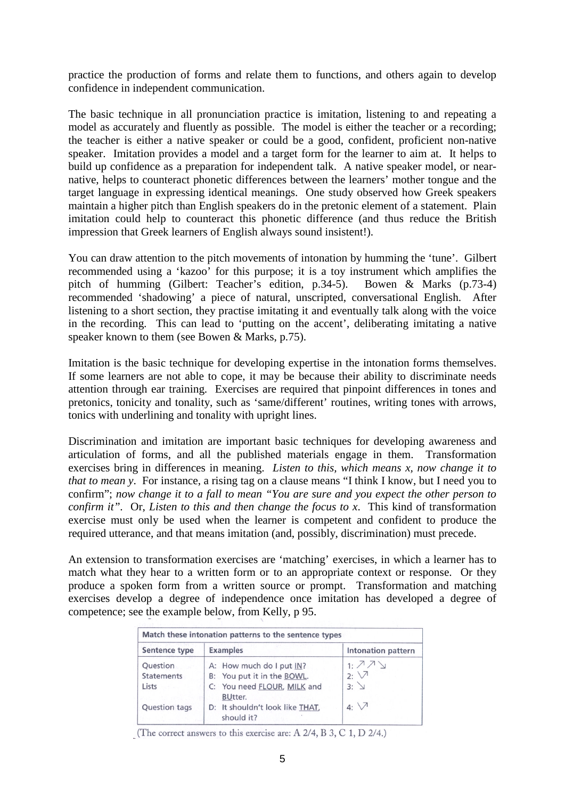practice the production of forms and relate them to functions, and others again to develop confidence in independent communication.

The basic technique in all pronunciation practice is imitation, listening to and repeating a model as accurately and fluently as possible. The model is either the teacher or a recording; the teacher is either a native speaker or could be a good, confident, proficient non-native speaker. Imitation provides a model and a target form for the learner to aim at. It helps to build up confidence as a preparation for independent talk. A native speaker model, or nearnative, helps to counteract phonetic differences between the learners' mother tongue and the target language in expressing identical meanings. One study observed how Greek speakers maintain a higher pitch than English speakers do in the pretonic element of a statement. Plain imitation could help to counteract this phonetic difference (and thus reduce the British impression that Greek learners of English always sound insistent!).

You can draw attention to the pitch movements of intonation by humming the 'tune'. Gilbert recommended using a 'kazoo' for this purpose; it is a toy instrument which amplifies the pitch of humming (Gilbert: Teacher's edition, p.34-5). Bowen & Marks (p.73-4) recommended 'shadowing' a piece of natural, unscripted, conversational English. After listening to a short section, they practise imitating it and eventually talk along with the voice in the recording. This can lead to 'putting on the accent', deliberating imitating a native speaker known to them (see Bowen & Marks, p.75).

Imitation is the basic technique for developing expertise in the intonation forms themselves. If some learners are not able to cope, it may be because their ability to discriminate needs attention through ear training. Exercises are required that pinpoint differences in tones and pretonics, tonicity and tonality, such as 'same/different' routines, writing tones with arrows, tonics with underlining and tonality with upright lines.

Discrimination and imitation are important basic techniques for developing awareness and articulation of forms, and all the published materials engage in them. Transformation exercises bring in differences in meaning. *Listen to this, which means x, now change it to that to mean y*. For instance, a rising tag on a clause means "I think I know, but I need you to confirm"; *now change it to a fall to mean "You are sure and you expect the other person to confirm it".* Or, *Listen to this and then change the focus to x*. This kind of transformation exercise must only be used when the learner is competent and confident to produce the required utterance, and that means imitation (and, possibly, discrimination) must precede.

An extension to transformation exercises are 'matching' exercises, in which a learner has to match what they hear to a written form or to an appropriate context or response. Or they produce a spoken form from a written source or prompt. Transformation and matching exercises develop a degree of independence once imitation has developed a degree of competence; see the example below, from Kelly, p 95.

| Match these intonation patterns to the sentence types |                                                                                       |                                                              |  |  |  |
|-------------------------------------------------------|---------------------------------------------------------------------------------------|--------------------------------------------------------------|--|--|--|
| Sentence type                                         | <b>Examples</b>                                                                       | Intonation pattern<br>1:77<br>$2: \nabla$<br>$3:$ $\searrow$ |  |  |  |
| Question<br><b>Statements</b><br>Lists                | A: How much do I put IN?<br>B: You put it in the BOWL.<br>C: You need FLOUR, MILK and |                                                              |  |  |  |
| Question tags                                         | <b>BUtter.</b><br>D: It shouldn't look like THAT,<br>should it?                       | 4: $\vee$                                                    |  |  |  |

(The correct answers to this exercise are: A  $2/4$ , B 3, C 1, D  $2/4$ .)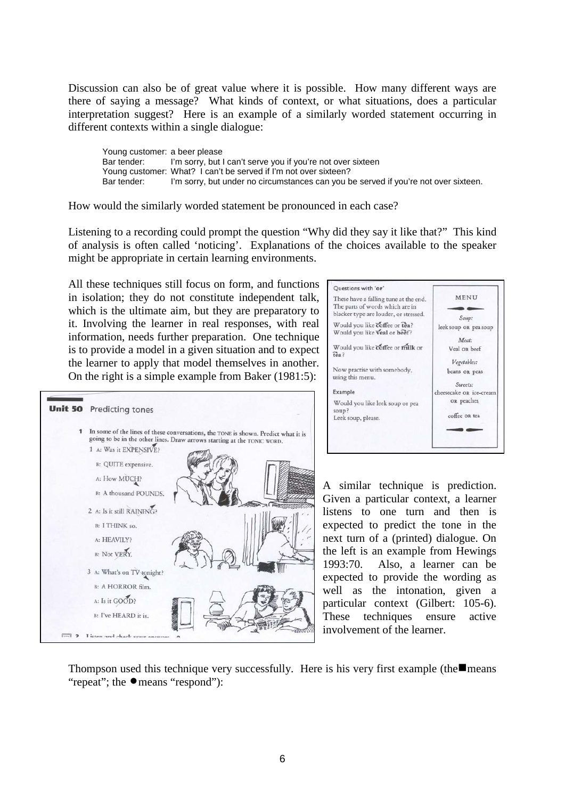Discussion can also be of great value where it is possible. How many different ways are there of saying a message? What kinds of context, or what situations, does a particular interpretation suggest? Here is an example of a similarly worded statement occurring in different contexts within a single dialogue:

Young customer: a beer please Bar tender: I'm sorry, but I can't serve you if you're not over sixteen Young customer: What? I can't be served if I'm not over sixteen?<br>Bar tender: I'm sorry, but under no circumstances can you b I'm sorry, but under no circumstances can you be served if you're not over sixteen.

How would the similarly worded statement be pronounced in each case?

Listening to a recording could prompt the question "Why did they say it like that?" This kind of analysis is often called 'noticing'. Explanations of the choices available to the speaker might be appropriate in certain learning environments.

All these techniques still focus on form, and functions in isolation; they do not constitute independent talk, which is the ultimate aim, but they are preparatory to it. Involving the learner in real responses, with real information, needs further preparation. One technique is to provide a model in a given situation and to expect the learner to apply that model themselves in another. On the right is a simple example from Baker (1981:5):





A similar technique is prediction. Given a particular context, a learner listens to one turn and then is expected to predict the tone in the next turn of a (printed) dialogue. On the left is an example from Hewings 1993:70. Also, a learner can be expected to provide the wording as well as the intonation, given a particular context (Gilbert: 105-6). These techniques ensure active involvement of the learner.

Thompson used this technique very successfully. Here is his very first example (the means "repeat"; the  $\bullet$  means "respond"):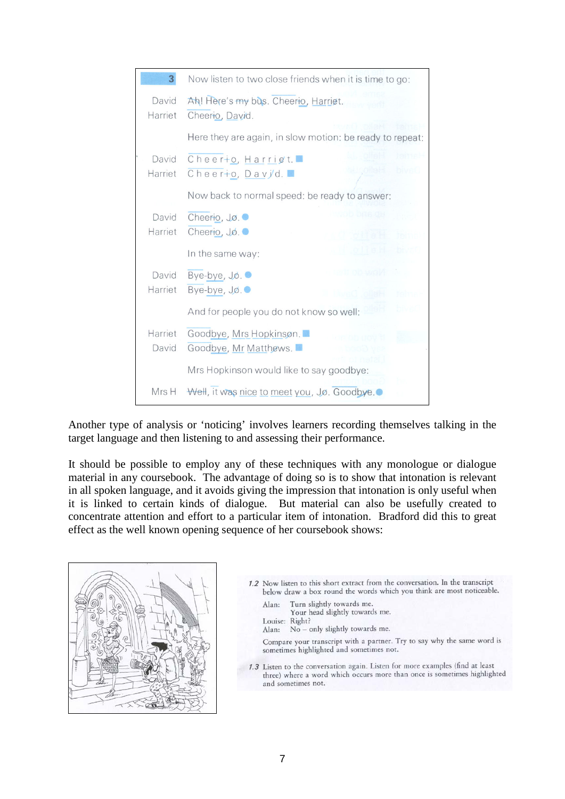| 3                | Now listen to two close friends when it is time to go:   |
|------------------|----------------------------------------------------------|
| David<br>Harriet | Ah! Here's my bus. Cheerio, Harriet.<br>Cheerio, David.  |
|                  | Here they are again, in slow motion: be ready to repeat: |
| David<br>Harriet | Cheerio, Harrigt.<br><b>bivet</b><br>Cheerto, Davyd.     |
|                  | Now back to normal speed: be ready to answer:            |
| David<br>Harriet | Cheerio, Jo.<br>Cheerio, Jo.                             |
|                  | In the same way:                                         |
| David<br>Harriet | Bye-bye, Jo.<br>Bye-bye, Jo.                             |
|                  | And for people you do not know so well:                  |
| Harriet<br>David | Goodbye, Mrs Hopkinson.<br>Goodbye, Mr Matthews.         |
|                  | Mrs Hopkinson would like to say goodbye:                 |
| Mrs H            | Well, it was nice to meet you, Jø. Goodbye.              |

Another type of analysis or 'noticing' involves learners recording themselves talking in the target language and then listening to and assessing their performance.

It should be possible to employ any of these techniques with any monologue or dialogue material in any coursebook. The advantage of doing so is to show that intonation is relevant in all spoken language, and it avoids giving the impression that intonation is only useful when it is linked to certain kinds of dialogue. But material can also be usefully created to concentrate attention and effort to a particular item of intonation. Bradford did this to great effect as the well known opening sequence of her coursebook shows:



- 1.2 Now listen to this short extract from the conversation. In the transcript below draw a box round the words which you think are most noticeable.
	- Turn slightly towards me. Alan:
	- Your head slightly towards me.
	- Louise: Right?
	- No only slightly towards me. Alan:
	- Compare your transcript with a partner. Try to say why the same word is sometimes highlighted and sometimes not.
- 1.3 Listen to the conversation again. Listen for more examples (find at least three) where a word which occurs more than once is sometimes highlighted and sometimes not.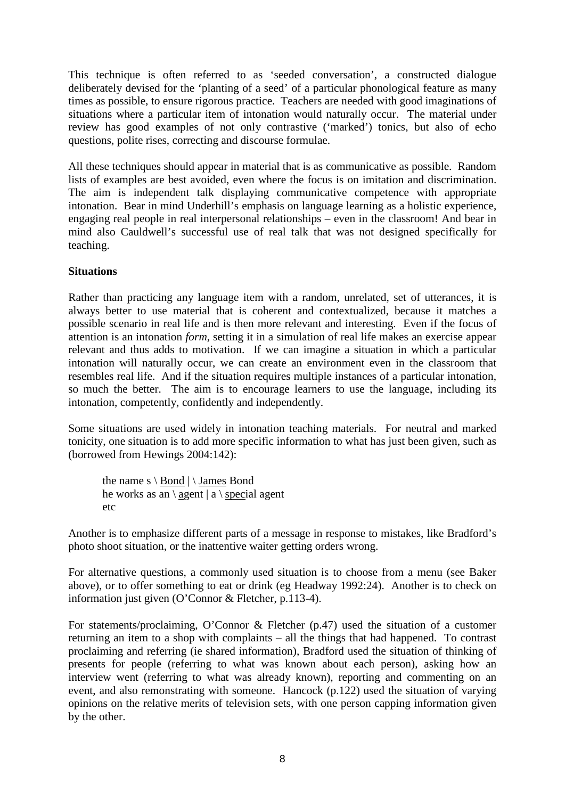This technique is often referred to as 'seeded conversation', a constructed dialogue deliberately devised for the 'planting of a seed' of a particular phonological feature as many times as possible, to ensure rigorous practice. Teachers are needed with good imaginations of situations where a particular item of intonation would naturally occur. The material under review has good examples of not only contrastive ('marked') tonics, but also of echo questions, polite rises, correcting and discourse formulae.

All these techniques should appear in material that is as communicative as possible. Random lists of examples are best avoided, even where the focus is on imitation and discrimination. The aim is independent talk displaying communicative competence with appropriate intonation. Bear in mind Underhill's emphasis on language learning as a holistic experience, engaging real people in real interpersonal relationships – even in the classroom! And bear in mind also Cauldwell's successful use of real talk that was not designed specifically for teaching.

## **Situations**

Rather than practicing any language item with a random, unrelated, set of utterances, it is always better to use material that is coherent and contextualized, because it matches a possible scenario in real life and is then more relevant and interesting. Even if the focus of attention is an intonation *form*, setting it in a simulation of real life makes an exercise appear relevant and thus adds to motivation. If we can imagine a situation in which a particular intonation will naturally occur, we can create an environment even in the classroom that resembles real life. And if the situation requires multiple instances of a particular intonation, so much the better. The aim is to encourage learners to use the language, including its intonation, competently, confidently and independently.

Some situations are used widely in intonation teaching materials. For neutral and marked tonicity, one situation is to add more specific information to what has just been given, such as (borrowed from Hewings 2004:142):

the name  $s \setminus Bond \setminus James Bond$ he works as an \ agent  $|a \rangle$  special agent etc

Another is to emphasize different parts of a message in response to mistakes, like Bradford's photo shoot situation, or the inattentive waiter getting orders wrong.

For alternative questions, a commonly used situation is to choose from a menu (see Baker above), or to offer something to eat or drink (eg Headway 1992:24). Another is to check on information just given (O'Connor & Fletcher, p.113-4).

For statements/proclaiming, O'Connor & Fletcher (p.47) used the situation of a customer returning an item to a shop with complaints – all the things that had happened. To contrast proclaiming and referring (ie shared information), Bradford used the situation of thinking of presents for people (referring to what was known about each person), asking how an interview went (referring to what was already known), reporting and commenting on an event, and also remonstrating with someone. Hancock (p.122) used the situation of varying opinions on the relative merits of television sets, with one person capping information given by the other.